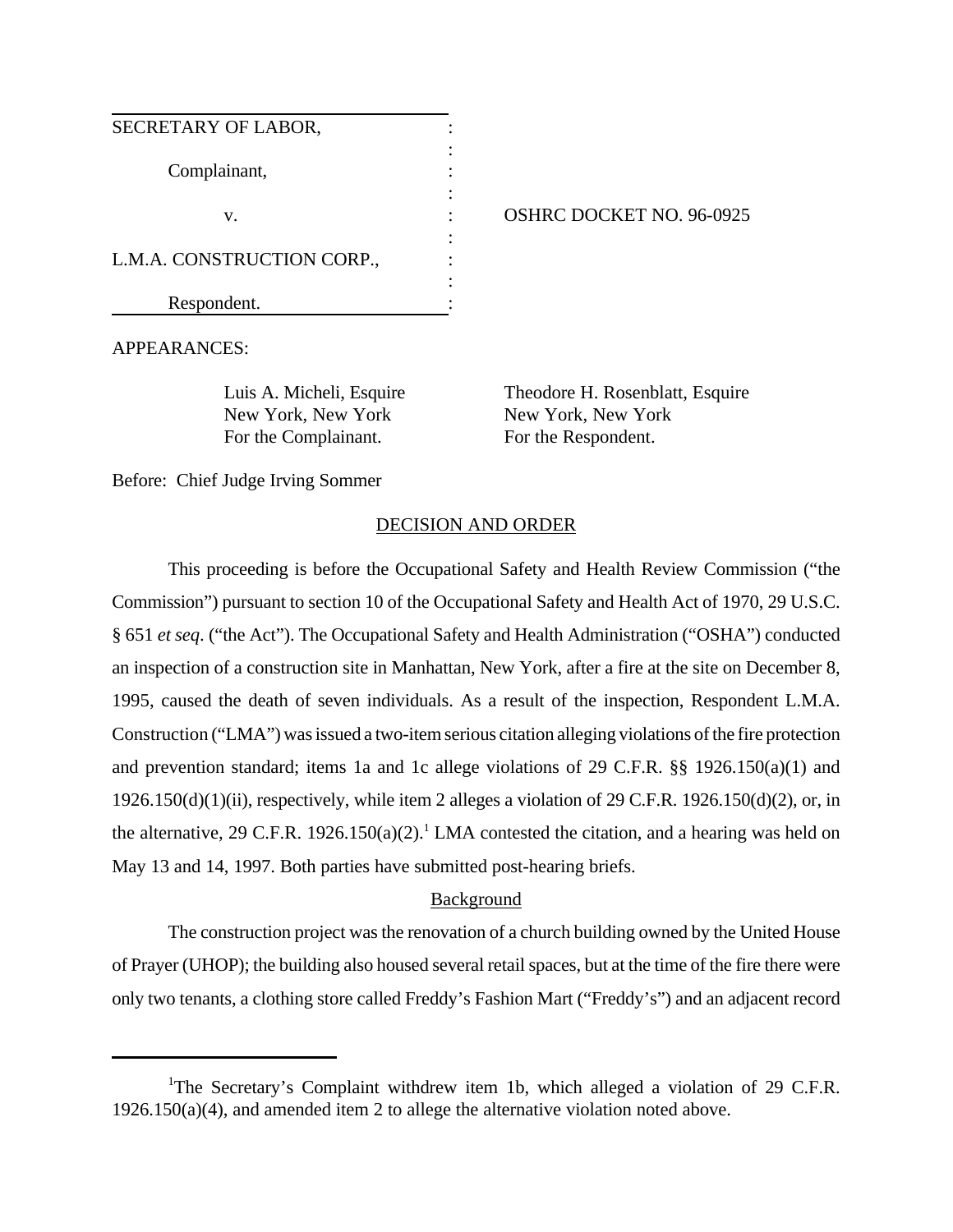| SECRETARY OF LABOR,        |  |
|----------------------------|--|
| Complainant,               |  |
| V.                         |  |
| L.M.A. CONSTRUCTION CORP., |  |
| Respondent.                |  |

OSHRC DOCKET NO. 96-0925

APPEARANCES:

New York, New York New York, New York For the Complainant. For the Respondent.

Luis A. Micheli, Esquire Theodore H. Rosenblatt, Esquire

Before: Chief Judge Irving Sommer

# DECISION AND ORDER

This proceeding is before the Occupational Safety and Health Review Commission ("the Commission") pursuant to section 10 of the Occupational Safety and Health Act of 1970, 29 U.S.C. § 651 *et seq*. ("the Act"). The Occupational Safety and Health Administration ("OSHA") conducted an inspection of a construction site in Manhattan, New York, after a fire at the site on December 8, 1995, caused the death of seven individuals. As a result of the inspection, Respondent L.M.A. Construction ("LMA") was issued a two-item serious citation alleging violations of the fire protection and prevention standard; items 1a and 1c allege violations of 29 C.F.R. §§ 1926.150(a)(1) and  $1926.150(d)(1)(ii)$ , respectively, while item 2 alleges a violation of 29 C.F.R. 1926.150(d)(2), or, in the alternative, 29 C.F.R. 1926.150(a)(2).<sup>1</sup> LMA contested the citation, and a hearing was held on May 13 and 14, 1997. Both parties have submitted post-hearing briefs.

# Background

The construction project was the renovation of a church building owned by the United House of Prayer (UHOP); the building also housed several retail spaces, but at the time of the fire there were only two tenants, a clothing store called Freddy's Fashion Mart ("Freddy's") and an adjacent record

<sup>&</sup>lt;sup>1</sup>The Secretary's Complaint withdrew item 1b, which alleged a violation of 29 C.F.R. 1926.150(a)(4), and amended item 2 to allege the alternative violation noted above.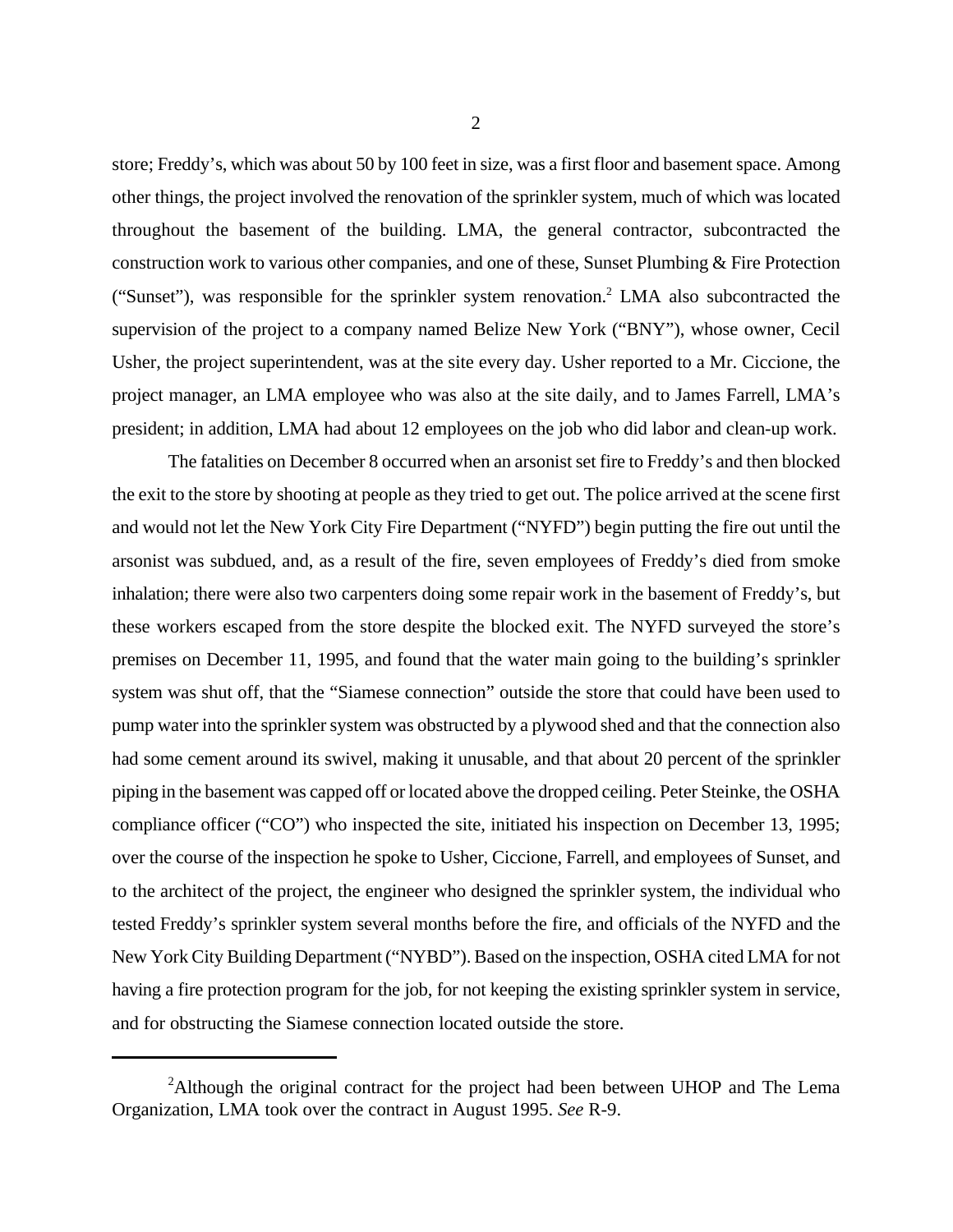store; Freddy's, which was about 50 by 100 feet in size, was a first floor and basement space. Among other things, the project involved the renovation of the sprinkler system, much of which was located throughout the basement of the building. LMA, the general contractor, subcontracted the construction work to various other companies, and one of these, Sunset Plumbing & Fire Protection ("Sunset"), was responsible for the sprinkler system renovation.<sup>2</sup> LMA also subcontracted the supervision of the project to a company named Belize New York ("BNY"), whose owner, Cecil Usher, the project superintendent, was at the site every day. Usher reported to a Mr. Ciccione, the project manager, an LMA employee who was also at the site daily, and to James Farrell, LMA's president; in addition, LMA had about 12 employees on the job who did labor and clean-up work.

The fatalities on December 8 occurred when an arsonist set fire to Freddy's and then blocked the exit to the store by shooting at people as they tried to get out. The police arrived at the scene first and would not let the New York City Fire Department ("NYFD") begin putting the fire out until the arsonist was subdued, and, as a result of the fire, seven employees of Freddy's died from smoke inhalation; there were also two carpenters doing some repair work in the basement of Freddy's, but these workers escaped from the store despite the blocked exit. The NYFD surveyed the store's premises on December 11, 1995, and found that the water main going to the building's sprinkler system was shut off, that the "Siamese connection" outside the store that could have been used to pump water into the sprinkler system was obstructed by a plywood shed and that the connection also had some cement around its swivel, making it unusable, and that about 20 percent of the sprinkler piping in the basement was capped off or located above the dropped ceiling. Peter Steinke, the OSHA compliance officer ("CO") who inspected the site, initiated his inspection on December 13, 1995; over the course of the inspection he spoke to Usher, Ciccione, Farrell, and employees of Sunset, and to the architect of the project, the engineer who designed the sprinkler system, the individual who tested Freddy's sprinkler system several months before the fire, and officials of the NYFD and the New York City Building Department ("NYBD"). Based on the inspection, OSHA cited LMA for not having a fire protection program for the job, for not keeping the existing sprinkler system in service, and for obstructing the Siamese connection located outside the store.

<sup>&</sup>lt;sup>2</sup>Although the original contract for the project had been between UHOP and The Lema Organization, LMA took over the contract in August 1995. *See* R-9.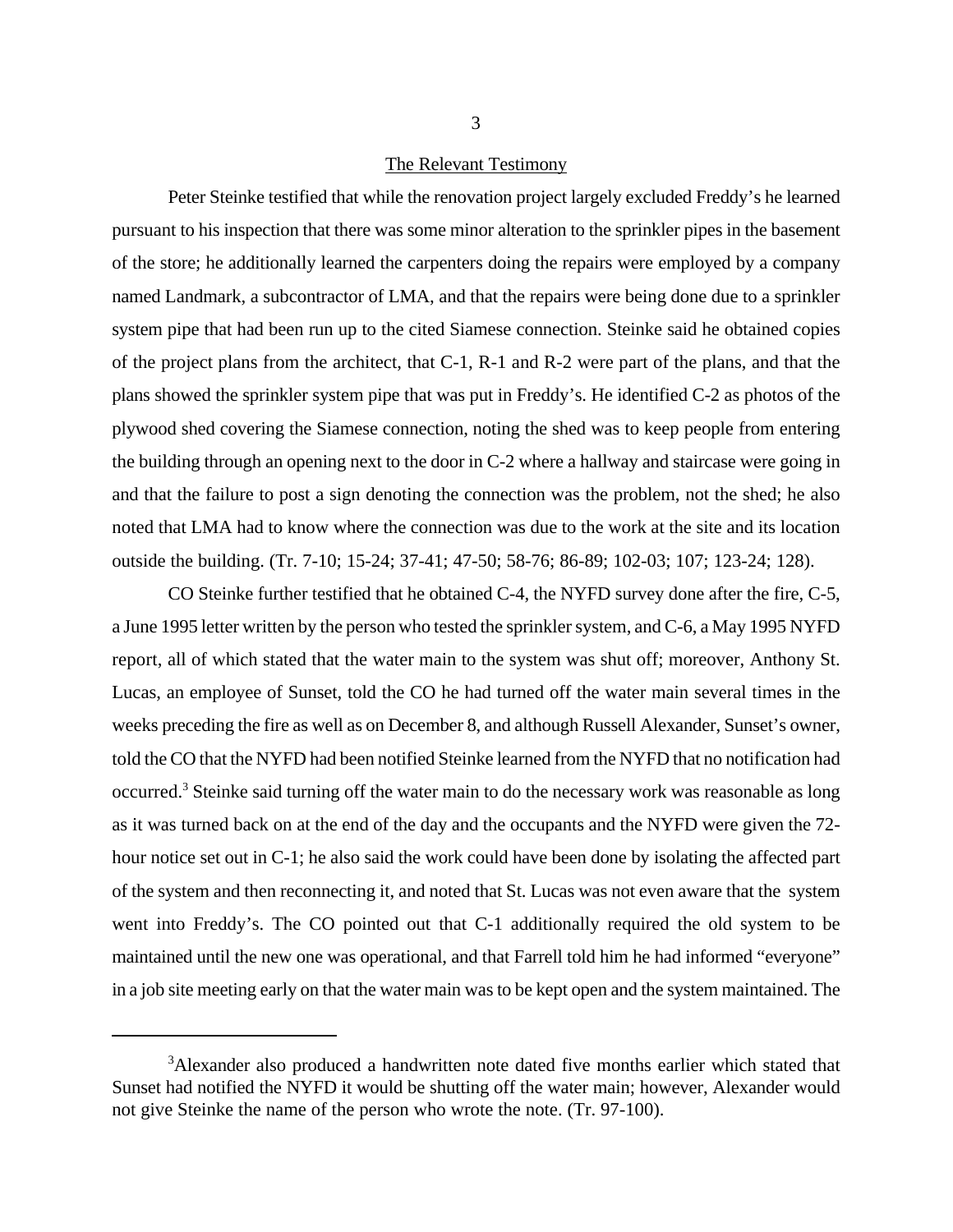#### The Relevant Testimony

Peter Steinke testified that while the renovation project largely excluded Freddy's he learned pursuant to his inspection that there was some minor alteration to the sprinkler pipes in the basement of the store; he additionally learned the carpenters doing the repairs were employed by a company named Landmark, a subcontractor of LMA, and that the repairs were being done due to a sprinkler system pipe that had been run up to the cited Siamese connection. Steinke said he obtained copies of the project plans from the architect, that C-1, R-1 and R-2 were part of the plans, and that the plans showed the sprinkler system pipe that was put in Freddy's. He identified C-2 as photos of the plywood shed covering the Siamese connection, noting the shed was to keep people from entering the building through an opening next to the door in C-2 where a hallway and staircase were going in and that the failure to post a sign denoting the connection was the problem, not the shed; he also noted that LMA had to know where the connection was due to the work at the site and its location outside the building. (Tr. 7-10; 15-24; 37-41; 47-50; 58-76; 86-89; 102-03; 107; 123-24; 128).

CO Steinke further testified that he obtained C-4, the NYFD survey done after the fire, C-5, a June 1995 letter written by the person who tested the sprinkler system, and C-6, a May 1995 NYFD report, all of which stated that the water main to the system was shut off; moreover, Anthony St. Lucas, an employee of Sunset, told the CO he had turned off the water main several times in the weeks preceding the fire as well as on December 8, and although Russell Alexander, Sunset's owner, told the CO that the NYFD had been notified Steinke learned from the NYFD that no notification had occurred.<sup>3</sup> Steinke said turning off the water main to do the necessary work was reasonable as long as it was turned back on at the end of the day and the occupants and the NYFD were given the 72 hour notice set out in C-1; he also said the work could have been done by isolating the affected part of the system and then reconnecting it, and noted that St. Lucas was not even aware that the system went into Freddy's. The CO pointed out that C-1 additionally required the old system to be maintained until the new one was operational, and that Farrell told him he had informed "everyone" in a job site meeting early on that the water main was to be kept open and the system maintained. The

<sup>&</sup>lt;sup>3</sup>Alexander also produced a handwritten note dated five months earlier which stated that Sunset had notified the NYFD it would be shutting off the water main; however, Alexander would not give Steinke the name of the person who wrote the note. (Tr. 97-100).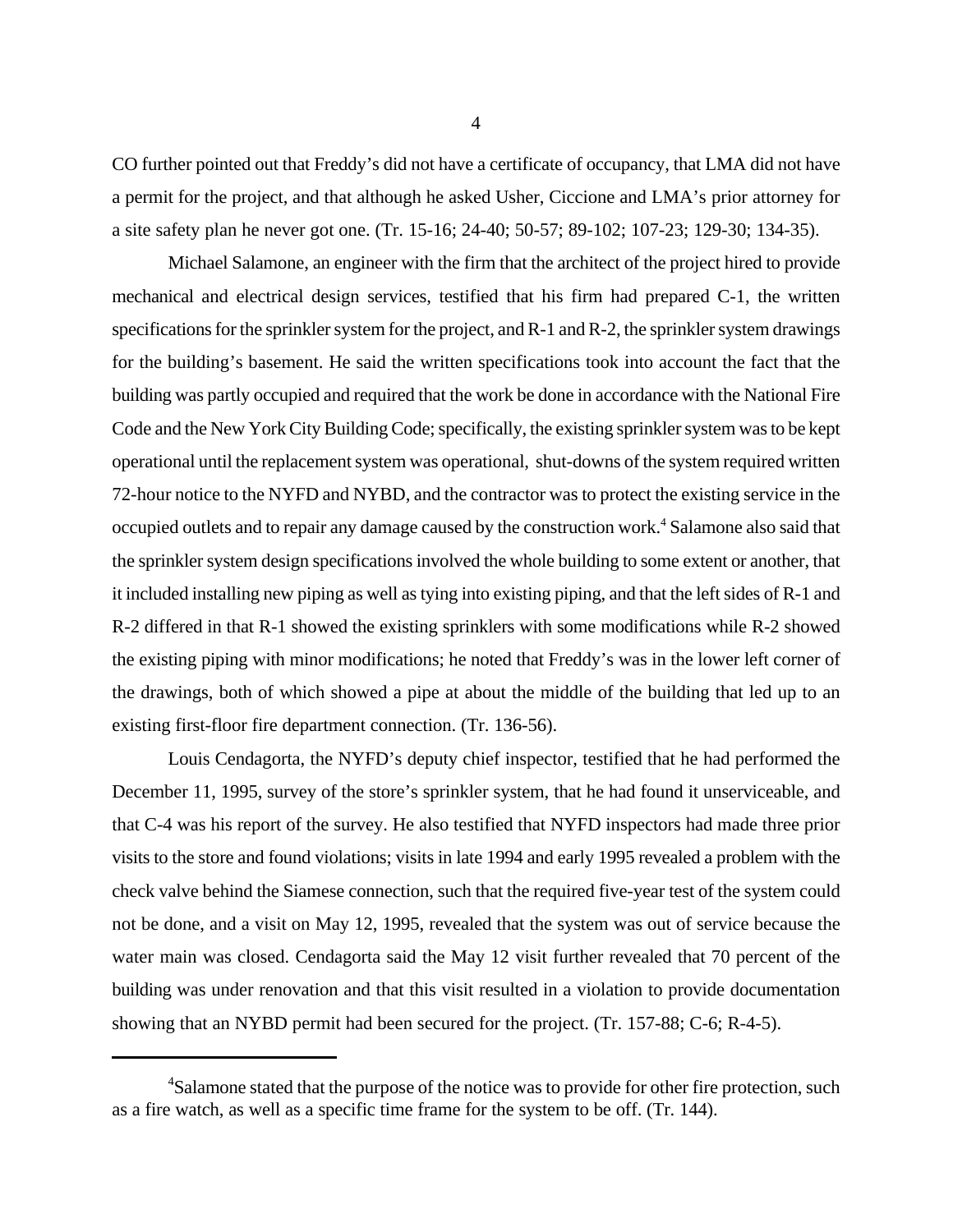CO further pointed out that Freddy's did not have a certificate of occupancy, that LMA did not have a permit for the project, and that although he asked Usher, Ciccione and LMA's prior attorney for a site safety plan he never got one. (Tr. 15-16; 24-40; 50-57; 89-102; 107-23; 129-30; 134-35).

Michael Salamone, an engineer with the firm that the architect of the project hired to provide mechanical and electrical design services, testified that his firm had prepared C-1, the written specifications for the sprinkler system for the project, and R-1 and R-2, the sprinkler system drawings for the building's basement. He said the written specifications took into account the fact that the building was partly occupied and required that the work be done in accordance with the National Fire Code and the New York City Building Code; specifically, the existing sprinkler system was to be kept operational until the replacement system was operational, shut-downs of the system required written 72-hour notice to the NYFD and NYBD, and the contractor was to protect the existing service in the occupied outlets and to repair any damage caused by the construction work.<sup>4</sup> Salamone also said that the sprinkler system design specifications involved the whole building to some extent or another, that it included installing new piping as well as tying into existing piping, and that the left sides of R-1 and R-2 differed in that R-1 showed the existing sprinklers with some modifications while R-2 showed the existing piping with minor modifications; he noted that Freddy's was in the lower left corner of the drawings, both of which showed a pipe at about the middle of the building that led up to an existing first-floor fire department connection. (Tr. 136-56).

Louis Cendagorta, the NYFD's deputy chief inspector, testified that he had performed the December 11, 1995, survey of the store's sprinkler system, that he had found it unserviceable, and that C-4 was his report of the survey. He also testified that NYFD inspectors had made three prior visits to the store and found violations; visits in late 1994 and early 1995 revealed a problem with the check valve behind the Siamese connection, such that the required five-year test of the system could not be done, and a visit on May 12, 1995, revealed that the system was out of service because the water main was closed. Cendagorta said the May 12 visit further revealed that 70 percent of the building was under renovation and that this visit resulted in a violation to provide documentation showing that an NYBD permit had been secured for the project. (Tr. 157-88; C-6; R-4-5).

<sup>&</sup>lt;sup>4</sup>Salamone stated that the purpose of the notice was to provide for other fire protection, such as a fire watch, as well as a specific time frame for the system to be off. (Tr. 144).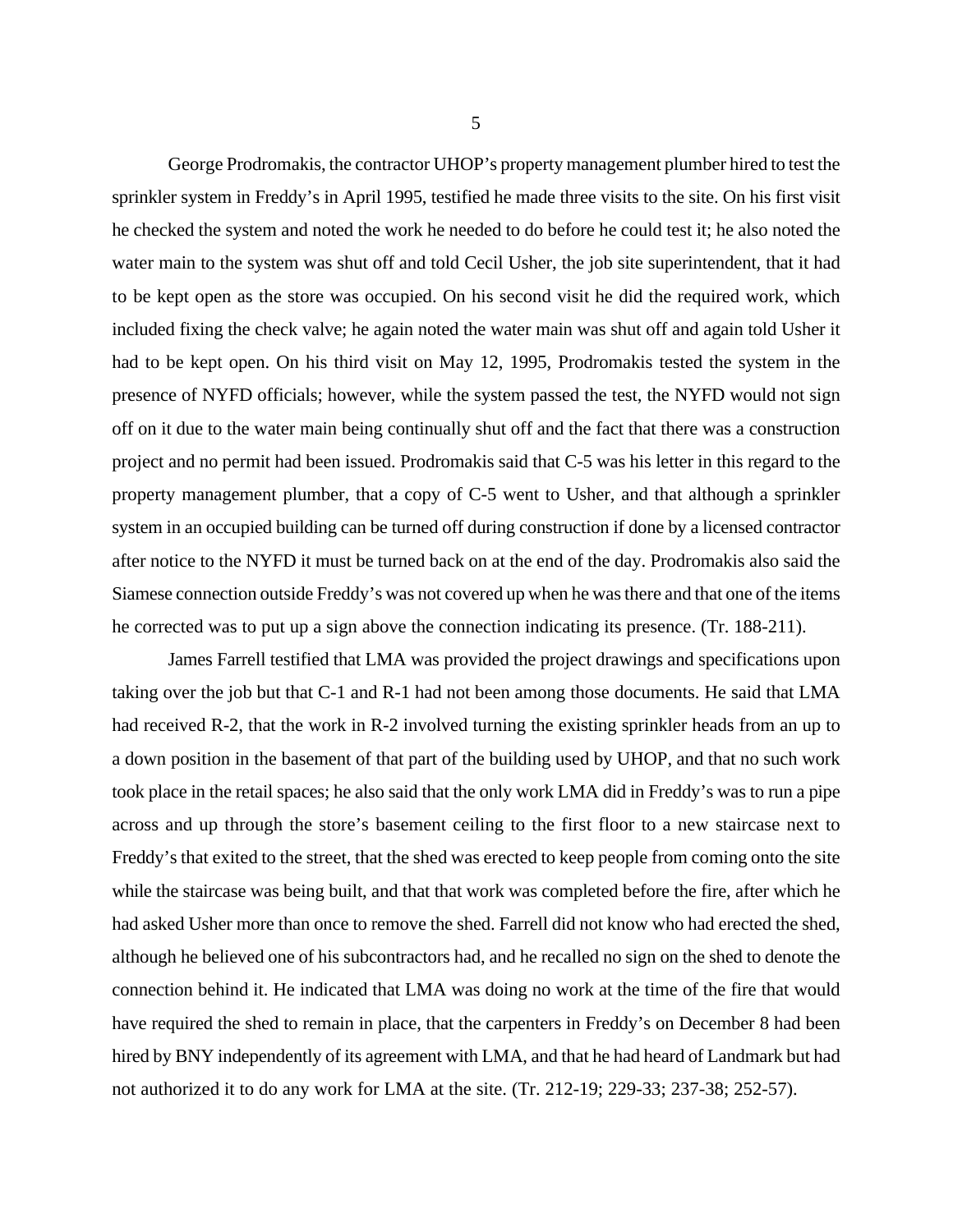George Prodromakis, the contractor UHOP's property management plumber hired to test the sprinkler system in Freddy's in April 1995, testified he made three visits to the site. On his first visit he checked the system and noted the work he needed to do before he could test it; he also noted the water main to the system was shut off and told Cecil Usher, the job site superintendent, that it had to be kept open as the store was occupied. On his second visit he did the required work, which included fixing the check valve; he again noted the water main was shut off and again told Usher it had to be kept open. On his third visit on May 12, 1995, Prodromakis tested the system in the presence of NYFD officials; however, while the system passed the test, the NYFD would not sign off on it due to the water main being continually shut off and the fact that there was a construction project and no permit had been issued. Prodromakis said that C-5 was his letter in this regard to the property management plumber, that a copy of C-5 went to Usher, and that although a sprinkler system in an occupied building can be turned off during construction if done by a licensed contractor after notice to the NYFD it must be turned back on at the end of the day. Prodromakis also said the Siamese connection outside Freddy's was not covered up when he was there and that one of the items he corrected was to put up a sign above the connection indicating its presence. (Tr. 188-211).

James Farrell testified that LMA was provided the project drawings and specifications upon taking over the job but that C-1 and R-1 had not been among those documents. He said that LMA had received R-2, that the work in R-2 involved turning the existing sprinkler heads from an up to a down position in the basement of that part of the building used by UHOP, and that no such work took place in the retail spaces; he also said that the only work LMA did in Freddy's was to run a pipe across and up through the store's basement ceiling to the first floor to a new staircase next to Freddy's that exited to the street, that the shed was erected to keep people from coming onto the site while the staircase was being built, and that that work was completed before the fire, after which he had asked Usher more than once to remove the shed. Farrell did not know who had erected the shed, although he believed one of his subcontractors had, and he recalled no sign on the shed to denote the connection behind it. He indicated that LMA was doing no work at the time of the fire that would have required the shed to remain in place, that the carpenters in Freddy's on December 8 had been hired by BNY independently of its agreement with LMA, and that he had heard of Landmark but had not authorized it to do any work for LMA at the site. (Tr. 212-19; 229-33; 237-38; 252-57).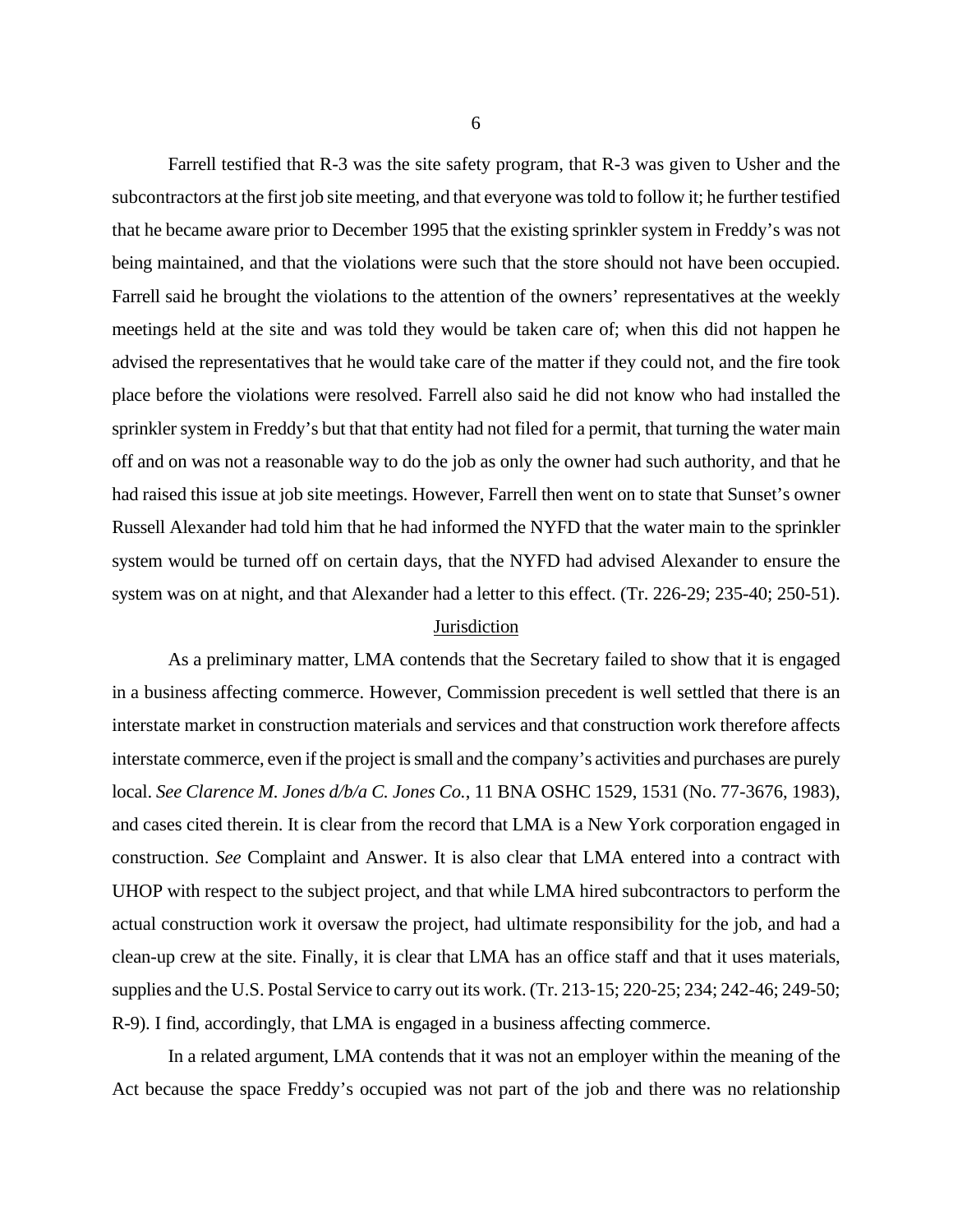Farrell testified that R-3 was the site safety program, that R-3 was given to Usher and the subcontractors at the first job site meeting, and that everyone was told to follow it; he further testified that he became aware prior to December 1995 that the existing sprinkler system in Freddy's was not being maintained, and that the violations were such that the store should not have been occupied. Farrell said he brought the violations to the attention of the owners' representatives at the weekly meetings held at the site and was told they would be taken care of; when this did not happen he advised the representatives that he would take care of the matter if they could not, and the fire took place before the violations were resolved. Farrell also said he did not know who had installed the sprinkler system in Freddy's but that that entity had not filed for a permit, that turning the water main off and on was not a reasonable way to do the job as only the owner had such authority, and that he had raised this issue at job site meetings. However, Farrell then went on to state that Sunset's owner Russell Alexander had told him that he had informed the NYFD that the water main to the sprinkler system would be turned off on certain days, that the NYFD had advised Alexander to ensure the system was on at night, and that Alexander had a letter to this effect. (Tr. 226-29; 235-40; 250-51).

# **Jurisdiction**

As a preliminary matter, LMA contends that the Secretary failed to show that it is engaged in a business affecting commerce. However, Commission precedent is well settled that there is an interstate market in construction materials and services and that construction work therefore affects interstate commerce, even if the project is small and the company's activities and purchases are purely local. *See Clarence M. Jones d/b/a C. Jones Co.*, 11 BNA OSHC 1529, 1531 (No. 77-3676, 1983), and cases cited therein. It is clear from the record that LMA is a New York corporation engaged in construction. *See* Complaint and Answer. It is also clear that LMA entered into a contract with UHOP with respect to the subject project, and that while LMA hired subcontractors to perform the actual construction work it oversaw the project, had ultimate responsibility for the job, and had a clean-up crew at the site. Finally, it is clear that LMA has an office staff and that it uses materials, supplies and the U.S. Postal Service to carry out its work. (Tr. 213-15; 220-25; 234; 242-46; 249-50; R-9). I find, accordingly, that LMA is engaged in a business affecting commerce.

In a related argument, LMA contends that it was not an employer within the meaning of the Act because the space Freddy's occupied was not part of the job and there was no relationship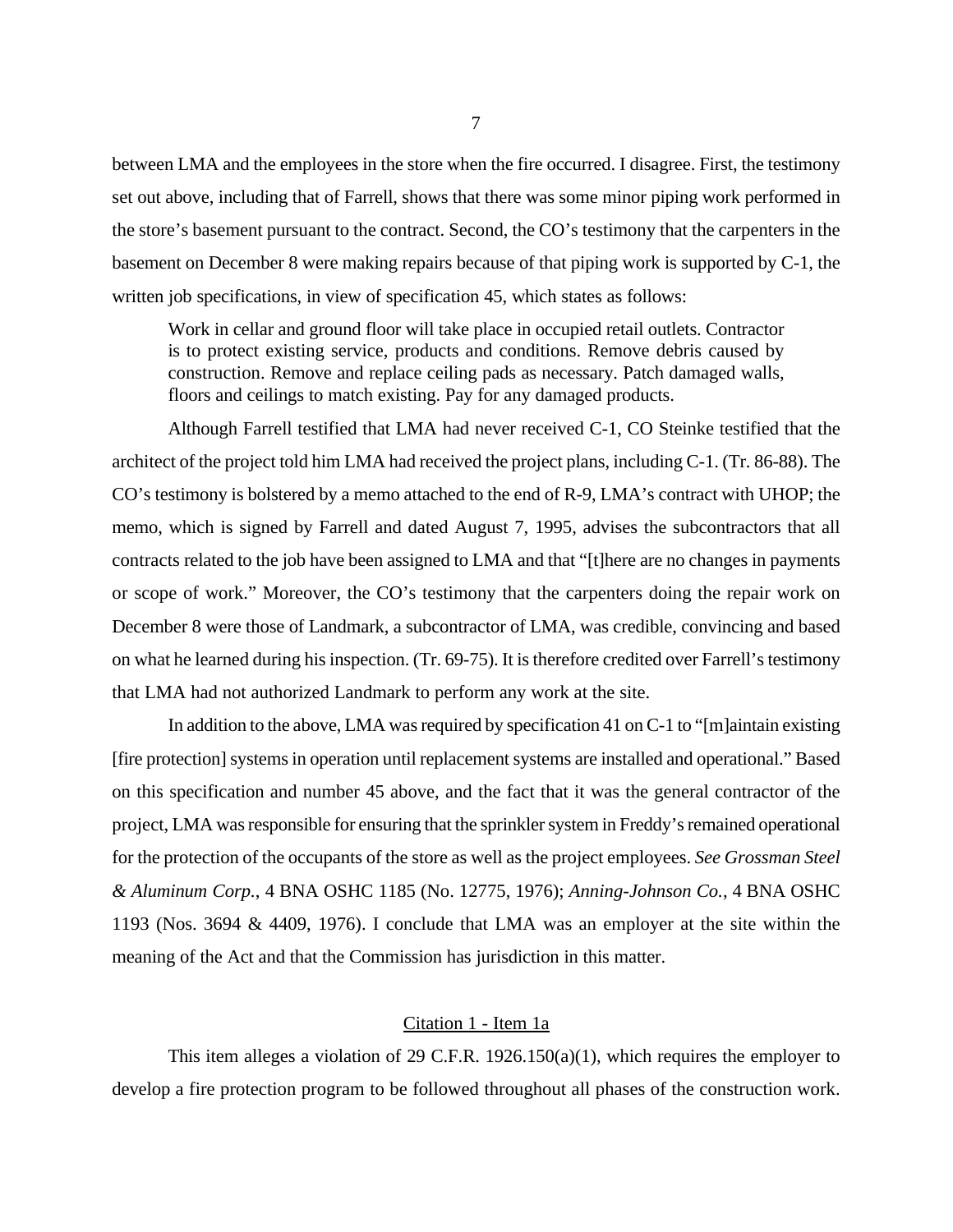between LMA and the employees in the store when the fire occurred. I disagree. First, the testimony set out above, including that of Farrell, shows that there was some minor piping work performed in the store's basement pursuant to the contract. Second, the CO's testimony that the carpenters in the basement on December 8 were making repairs because of that piping work is supported by C-1, the written job specifications, in view of specification 45, which states as follows:

Work in cellar and ground floor will take place in occupied retail outlets. Contractor is to protect existing service, products and conditions. Remove debris caused by construction. Remove and replace ceiling pads as necessary. Patch damaged walls, floors and ceilings to match existing. Pay for any damaged products.

Although Farrell testified that LMA had never received C-1, CO Steinke testified that the architect of the project told him LMA had received the project plans, including C-1. (Tr. 86-88). The CO's testimony is bolstered by a memo attached to the end of R-9, LMA's contract with UHOP; the memo, which is signed by Farrell and dated August 7, 1995, advises the subcontractors that all contracts related to the job have been assigned to LMA and that "[t]here are no changes in payments or scope of work." Moreover, the CO's testimony that the carpenters doing the repair work on December 8 were those of Landmark, a subcontractor of LMA, was credible, convincing and based on what he learned during his inspection. (Tr. 69-75). It is therefore credited over Farrell's testimony that LMA had not authorized Landmark to perform any work at the site.

In addition to the above, LMA was required by specification 41 on C-1 to "[m]aintain existing [fire protection] systems in operation until replacement systems are installed and operational." Based on this specification and number 45 above, and the fact that it was the general contractor of the project, LMA was responsible for ensuring that the sprinkler system in Freddy's remained operational for the protection of the occupants of the store as well as the project employees. *See Grossman Steel & Aluminum Corp.*, 4 BNA OSHC 1185 (No. 12775, 1976); *Anning-Johnson Co.*, 4 BNA OSHC 1193 (Nos. 3694 & 4409, 1976). I conclude that LMA was an employer at the site within the meaning of the Act and that the Commission has jurisdiction in this matter.

#### Citation 1 - Item 1a

This item alleges a violation of 29 C.F.R. 1926.150(a)(1), which requires the employer to develop a fire protection program to be followed throughout all phases of the construction work.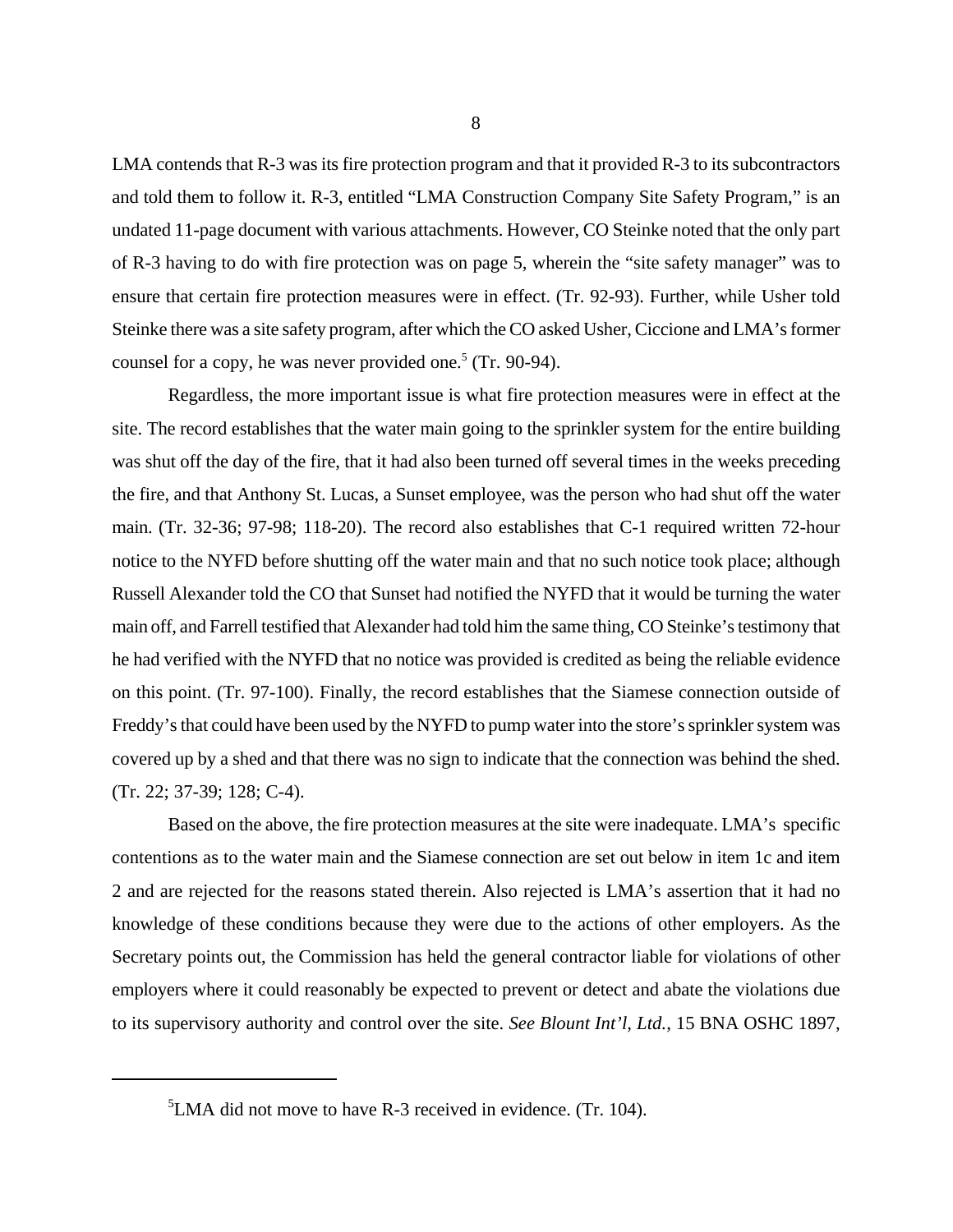LMA contends that R-3 was its fire protection program and that it provided R-3 to its subcontractors and told them to follow it. R-3, entitled "LMA Construction Company Site Safety Program," is an undated 11-page document with various attachments. However, CO Steinke noted that the only part of R-3 having to do with fire protection was on page 5, wherein the "site safety manager" was to ensure that certain fire protection measures were in effect. (Tr. 92-93). Further, while Usher told Steinke there was a site safety program, after which the CO asked Usher, Ciccione and LMA's former counsel for a copy, he was never provided one.<sup>5</sup> (Tr. 90-94).

Regardless, the more important issue is what fire protection measures were in effect at the site. The record establishes that the water main going to the sprinkler system for the entire building was shut off the day of the fire, that it had also been turned off several times in the weeks preceding the fire, and that Anthony St. Lucas, a Sunset employee, was the person who had shut off the water main. (Tr. 32-36; 97-98; 118-20). The record also establishes that C-1 required written 72-hour notice to the NYFD before shutting off the water main and that no such notice took place; although Russell Alexander told the CO that Sunset had notified the NYFD that it would be turning the water main off, and Farrell testified that Alexander had told him the same thing, CO Steinke's testimony that he had verified with the NYFD that no notice was provided is credited as being the reliable evidence on this point. (Tr. 97-100). Finally, the record establishes that the Siamese connection outside of Freddy's that could have been used by the NYFD to pump water into the store's sprinkler system was covered up by a shed and that there was no sign to indicate that the connection was behind the shed. (Tr. 22; 37-39; 128; C-4).

Based on the above, the fire protection measures at the site were inadequate. LMA's specific contentions as to the water main and the Siamese connection are set out below in item 1c and item 2 and are rejected for the reasons stated therein. Also rejected is LMA's assertion that it had no knowledge of these conditions because they were due to the actions of other employers. As the Secretary points out, the Commission has held the general contractor liable for violations of other employers where it could reasonably be expected to prevent or detect and abate the violations due to its supervisory authority and control over the site. *See Blount Int'l, Ltd.*, 15 BNA OSHC 1897,

 ${}^{5}$ LMA did not move to have R-3 received in evidence. (Tr. 104).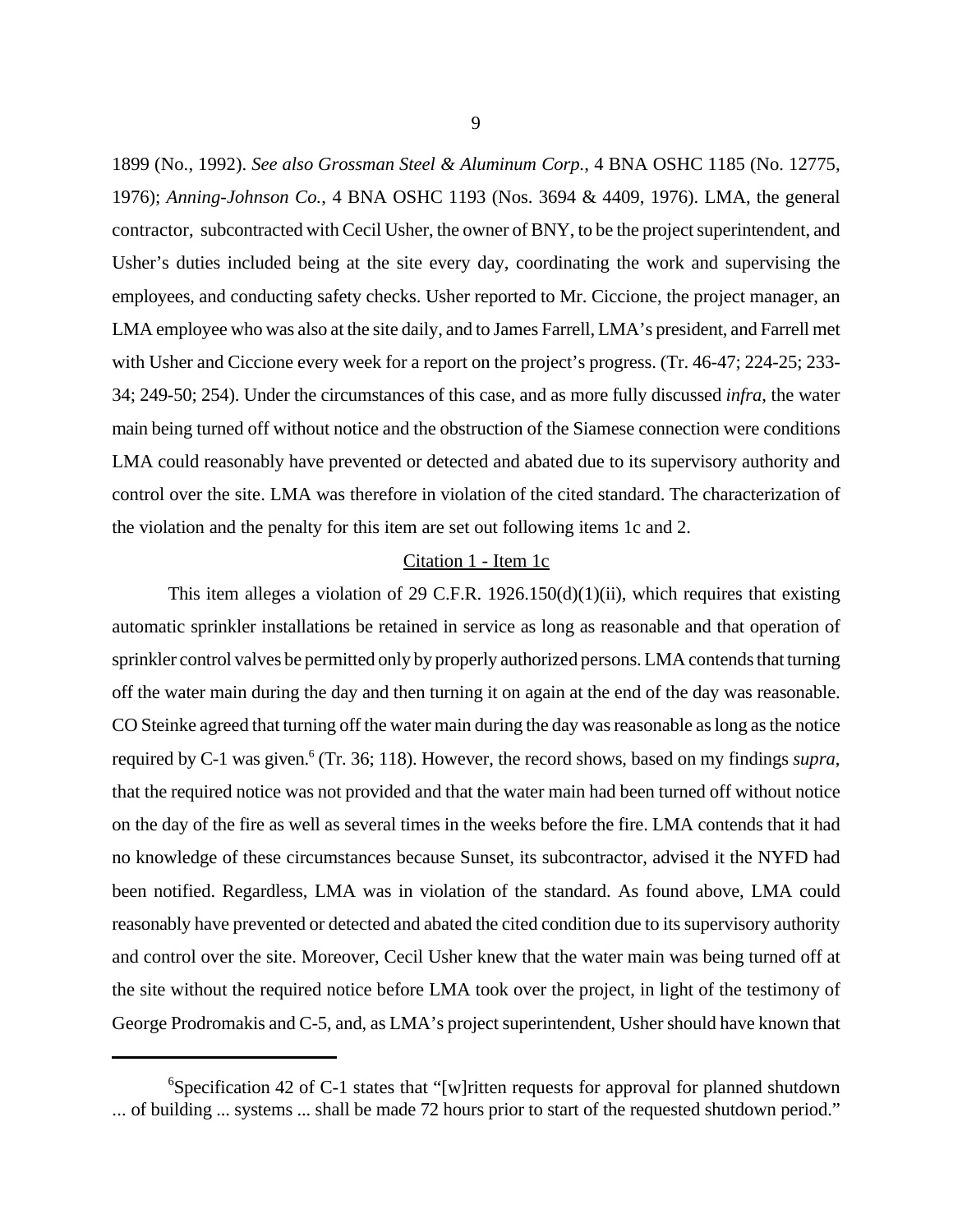1899 (No., 1992). *See also Grossman Steel & Aluminum Corp.*, 4 BNA OSHC 1185 (No. 12775, 1976); *Anning-Johnson Co.*, 4 BNA OSHC 1193 (Nos. 3694 & 4409, 1976). LMA, the general contractor, subcontracted with Cecil Usher, the owner of BNY, to be the project superintendent, and Usher's duties included being at the site every day, coordinating the work and supervising the employees, and conducting safety checks. Usher reported to Mr. Ciccione, the project manager, an LMA employee who was also at the site daily, and to James Farrell, LMA's president, and Farrell met with Usher and Ciccione every week for a report on the project's progress. (Tr. 46-47; 224-25; 233-34; 249-50; 254). Under the circumstances of this case, and as more fully discussed *infra*, the water main being turned off without notice and the obstruction of the Siamese connection were conditions LMA could reasonably have prevented or detected and abated due to its supervisory authority and control over the site. LMA was therefore in violation of the cited standard. The characterization of the violation and the penalty for this item are set out following items 1c and 2.

### Citation 1 - Item 1c

This item alleges a violation of 29 C.F.R.  $1926.150(d)(1)(ii)$ , which requires that existing automatic sprinkler installations be retained in service as long as reasonable and that operation of sprinkler control valves be permitted only by properly authorized persons. LMA contends that turning off the water main during the day and then turning it on again at the end of the day was reasonable. CO Steinke agreed that turning off the water main during the day was reasonable as long as the notice required by C-1 was given.<sup>6</sup> (Tr. 36; 118). However, the record shows, based on my findings *supra*, that the required notice was not provided and that the water main had been turned off without notice on the day of the fire as well as several times in the weeks before the fire. LMA contends that it had no knowledge of these circumstances because Sunset, its subcontractor, advised it the NYFD had been notified. Regardless, LMA was in violation of the standard. As found above, LMA could reasonably have prevented or detected and abated the cited condition due to its supervisory authority and control over the site. Moreover, Cecil Usher knew that the water main was being turned off at the site without the required notice before LMA took over the project, in light of the testimony of George Prodromakis and C-5, and, as LMA's project superintendent, Usher should have known that

<sup>&</sup>lt;sup>6</sup>Specification 42 of C-1 states that "[w]ritten requests for approval for planned shutdown ... of building ... systems ... shall be made 72 hours prior to start of the requested shutdown period."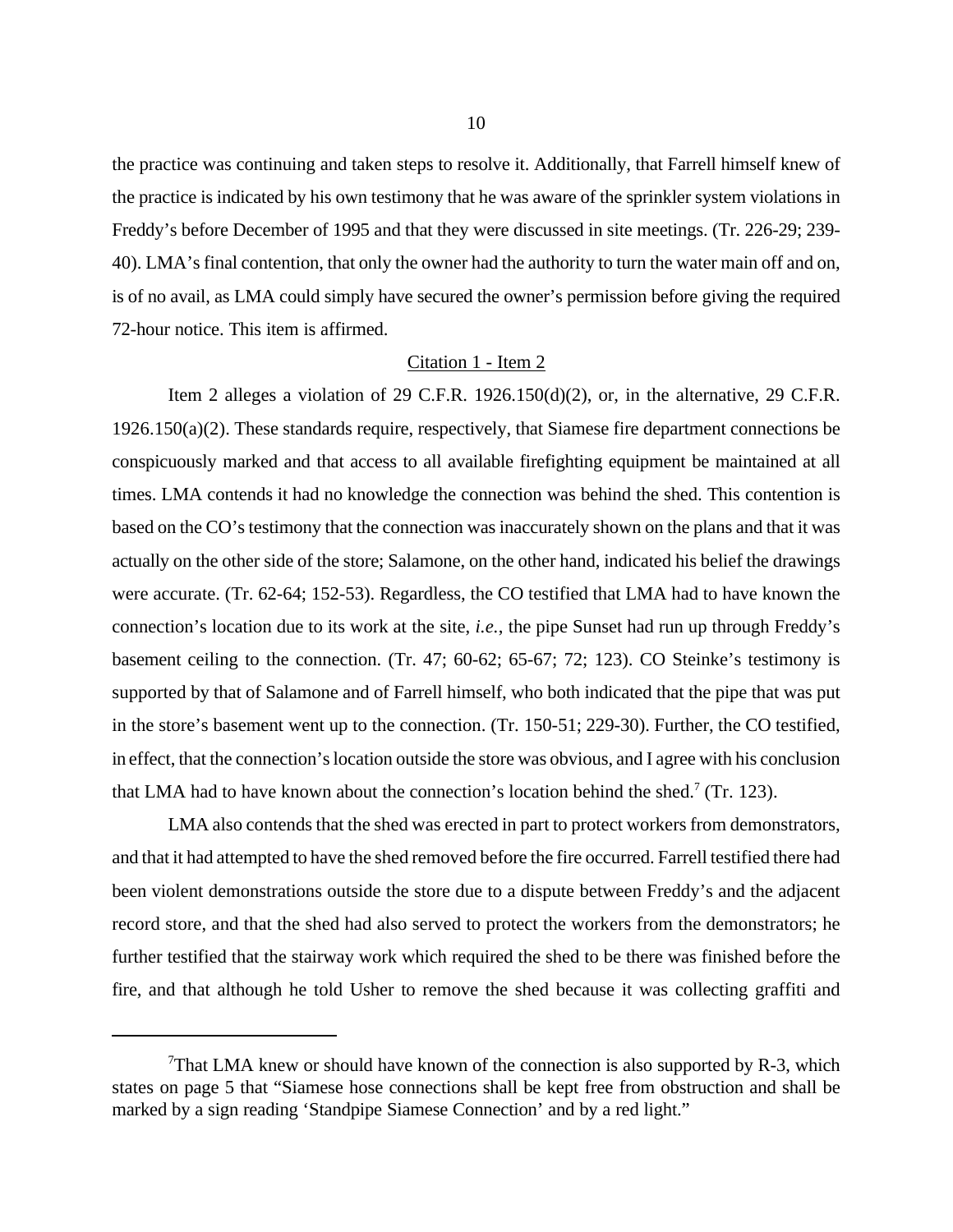the practice was continuing and taken steps to resolve it. Additionally, that Farrell himself knew of the practice is indicated by his own testimony that he was aware of the sprinkler system violations in Freddy's before December of 1995 and that they were discussed in site meetings. (Tr. 226-29; 239- 40). LMA's final contention, that only the owner had the authority to turn the water main off and on, is of no avail, as LMA could simply have secured the owner's permission before giving the required 72-hour notice. This item is affirmed.

### Citation 1 - Item 2

Item 2 alleges a violation of 29 C.F.R.  $1926.150(d)(2)$ , or, in the alternative, 29 C.F.R. 1926.150(a)(2). These standards require, respectively, that Siamese fire department connections be conspicuously marked and that access to all available firefighting equipment be maintained at all times. LMA contends it had no knowledge the connection was behind the shed. This contention is based on the CO's testimony that the connection was inaccurately shown on the plans and that it was actually on the other side of the store; Salamone, on the other hand, indicated his belief the drawings were accurate. (Tr. 62-64; 152-53). Regardless, the CO testified that LMA had to have known the connection's location due to its work at the site, *i.e.*, the pipe Sunset had run up through Freddy's basement ceiling to the connection. (Tr. 47; 60-62; 65-67; 72; 123). CO Steinke's testimony is supported by that of Salamone and of Farrell himself, who both indicated that the pipe that was put in the store's basement went up to the connection. (Tr. 150-51; 229-30). Further, the CO testified, in effect, that the connection's location outside the store was obvious, and I agree with his conclusion that LMA had to have known about the connection's location behind the shed.<sup>7</sup> (Tr. 123).

LMA also contends that the shed was erected in part to protect workers from demonstrators, and that it had attempted to have the shed removed before the fire occurred. Farrell testified there had been violent demonstrations outside the store due to a dispute between Freddy's and the adjacent record store, and that the shed had also served to protect the workers from the demonstrators; he further testified that the stairway work which required the shed to be there was finished before the fire, and that although he told Usher to remove the shed because it was collecting graffiti and

<sup>&</sup>lt;sup>7</sup>That LMA knew or should have known of the connection is also supported by R-3, which states on page 5 that "Siamese hose connections shall be kept free from obstruction and shall be marked by a sign reading 'Standpipe Siamese Connection' and by a red light."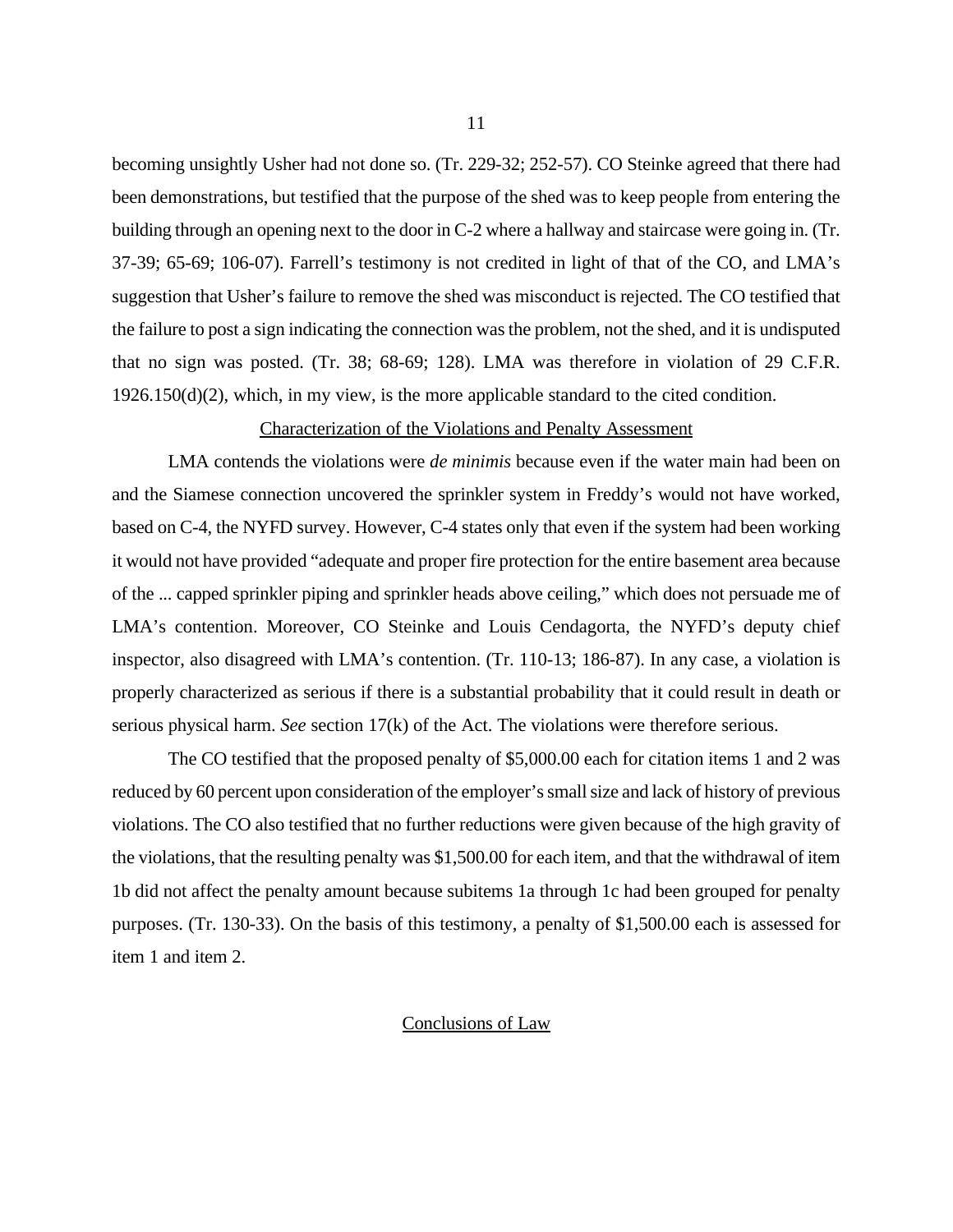becoming unsightly Usher had not done so. (Tr. 229-32; 252-57). CO Steinke agreed that there had been demonstrations, but testified that the purpose of the shed was to keep people from entering the building through an opening next to the door in C-2 where a hallway and staircase were going in. (Tr. 37-39; 65-69; 106-07). Farrell's testimony is not credited in light of that of the CO, and LMA's suggestion that Usher's failure to remove the shed was misconduct is rejected. The CO testified that the failure to post a sign indicating the connection was the problem, not the shed, and it is undisputed that no sign was posted. (Tr. 38; 68-69; 128). LMA was therefore in violation of 29 C.F.R. 1926.150(d)(2), which, in my view, is the more applicable standard to the cited condition.

### Characterization of the Violations and Penalty Assessment

LMA contends the violations were *de minimis* because even if the water main had been on and the Siamese connection uncovered the sprinkler system in Freddy's would not have worked, based on C-4, the NYFD survey. However, C-4 states only that even if the system had been working it would not have provided "adequate and proper fire protection for the entire basement area because of the ... capped sprinkler piping and sprinkler heads above ceiling," which does not persuade me of LMA's contention. Moreover, CO Steinke and Louis Cendagorta, the NYFD's deputy chief inspector, also disagreed with LMA's contention. (Tr. 110-13; 186-87). In any case, a violation is properly characterized as serious if there is a substantial probability that it could result in death or serious physical harm. *See* section 17(k) of the Act. The violations were therefore serious.

The CO testified that the proposed penalty of \$5,000.00 each for citation items 1 and 2 was reduced by 60 percent upon consideration of the employer's small size and lack of history of previous violations. The CO also testified that no further reductions were given because of the high gravity of the violations, that the resulting penalty was \$1,500.00 for each item, and that the withdrawal of item 1b did not affect the penalty amount because subitems 1a through 1c had been grouped for penalty purposes. (Tr. 130-33). On the basis of this testimony, a penalty of \$1,500.00 each is assessed for item 1 and item 2.

#### Conclusions of Law